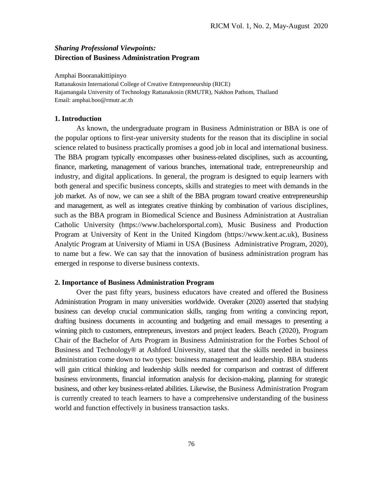# *Sharing Professional Viewpoints:* **Direction of Business Administration Program**

Amphai Booranakittipinyo Rattanakosin International College of Creative Entrepreneurship (RICE) Rajamangala University of Technology Rattanakosin (RMUTR), Nakhon Pathom, Thailand Email: amphai.boo@rmutr.ac.th

#### **1. Introduction**

As known, the undergraduate program in Business Administration or BBA is one of the popular options to first-year university students for the reason that its discipline in social science related to business practically promises a good job in local and international business. The BBA program typically encompasses other business-related disciplines, such as accounting, finance, marketing, management of various branches, international trade, entrepreneurship and industry, and digital applications. In general, the program is designed to equip learners with both general and specific business concepts, skills and strategies to meet with demands in the job market. As of now, we can see a shift of the BBA program toward creative entrepreneurship and management, as well as integrates creative thinking by combination of various disciplines, such as the BBA program in Biomedical Science and Business Administration at Australian Catholic University (https://www.bachelorsportal.com), Music Business and Production Program at University of Kent in the United Kingdom (https://www.kent.ac.uk), Business Analytic Program at University of Miami in USA (Business Administrative Program, 2020), to name but a few. We can say that the innovation of business administration program has emerged in response to diverse business contexts.

#### **2. Importance of Business Administration Program**

Over the past fifty years, business educators have created and offered the Business Administration Program in many universities worldwide. Overaker (2020) asserted that studying business can develop crucial communication skills, ranging from writing a convincing report, drafting business documents in accounting and budgeting and email messages to presenting a winning pitch to customers, entrepreneurs, investors and project leaders. [Beach](https://www.ashford.edu/online-degrees/forbes-school-of-business-and-technology/faculty/ronald-beach) (2020), Program Chair of the [Bachelor of Arts Program in Business Administration](https://www.ashford.edu/online-degrees/business/bachelor-of-arts-business-administration) for the [Forbes School of](https://www.ashford.edu/online-degrees/forbes-school-of-business-and-technology?field_degree_college_target_id=456)  [Business and Technology®](https://www.ashford.edu/online-degrees/forbes-school-of-business-and-technology?field_degree_college_target_id=456) at Ashford University, stated that the skills needed in business administration come down to two types: business management and leadership. BBA students will gain critical thinking and leadership skills needed for comparison and contrast of different business environments, financial information analysis for decision-making, planning for strategic business, and other key business-related abilities. Likewise, the Business Administration Program is currently created to teach learners to have a comprehensive understanding of the business world and function effectively in business transaction tasks.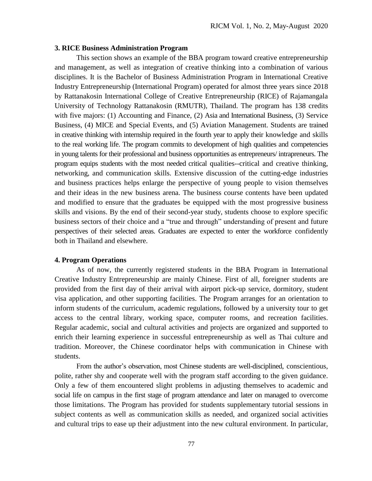### **3. RICE Business Administration Program**

This section shows an example of the BBA program toward creative entrepreneurship and management, as well as integration of creative thinking into a combination of various disciplines. It is the Bachelor of Business Administration Program in International Creative Industry Entrepreneurship (International Program) operated for almost three years since 2018 by Rattanakosin International College of Creative Entrepreneurship (RICE) of Rajamangala University of Technology Rattanakosin (RMUTR), Thailand. The program has 138 credits with five majors: (1) Accounting and Finance, (2) Asia and International Business, (3) Service Business, (4) MICE and Special Events, and (5) Aviation Management. Students are trained in creative thinking with internship required in the fourth year to apply their knowledge and skills to the real working life. The program commits to development of high qualities and competencies in young talents for their professional and business opportunities as entrepreneurs/ intrapreneurs. The program equips students with the most needed critical qualities--critical and creative thinking, networking, and communication skills. Extensive discussion of the cutting-edge industries and business practices helps enlarge the perspective of young people to vision themselves and their ideas in the new business arena. The business course contents have been updated and modified to ensure that the graduates be equipped with the most progressive business skills and visions. By the end of their second-year study, students choose to explore specific business sectors of their choice and a "true and through" understanding of present and future perspectives of their selected areas. Graduates are expected to enter the workforce confidently both in Thailand and elsewhere.

#### **4. Program Operations**

As of now, the currently registered students in the BBA Program in International Creative Industry Entrepreneurship are mainly Chinese. First of all, foreigner students are provided from the first day of their arrival with airport pick-up service, dormitory, student visa application, and other supporting facilities. The Program arranges for an orientation to inform students of the curriculum, academic regulations, followed by a university tour to get access to the central library, working space, computer rooms, and recreation facilities. Regular academic, social and cultural activities and projects are organized and supported to enrich their learning experience in successful entrepreneurship as well as Thai culture and tradition. Moreover, the Chinese coordinator helps with communication in Chinese with students.

From the author's observation, most Chinese students are well-disciplined, conscientious, polite, rather shy and cooperate well with the program staff according to the given guidance. Only a few of them encountered slight problems in adjusting themselves to academic and social life on campus in the first stage of program attendance and later on managed to overcome those limitations. The Program has provided for students supplementary tutorial sessions in subject contents as well as communication skills as needed, and organized social activities and cultural trips to ease up their adjustment into the new cultural environment. In particular,